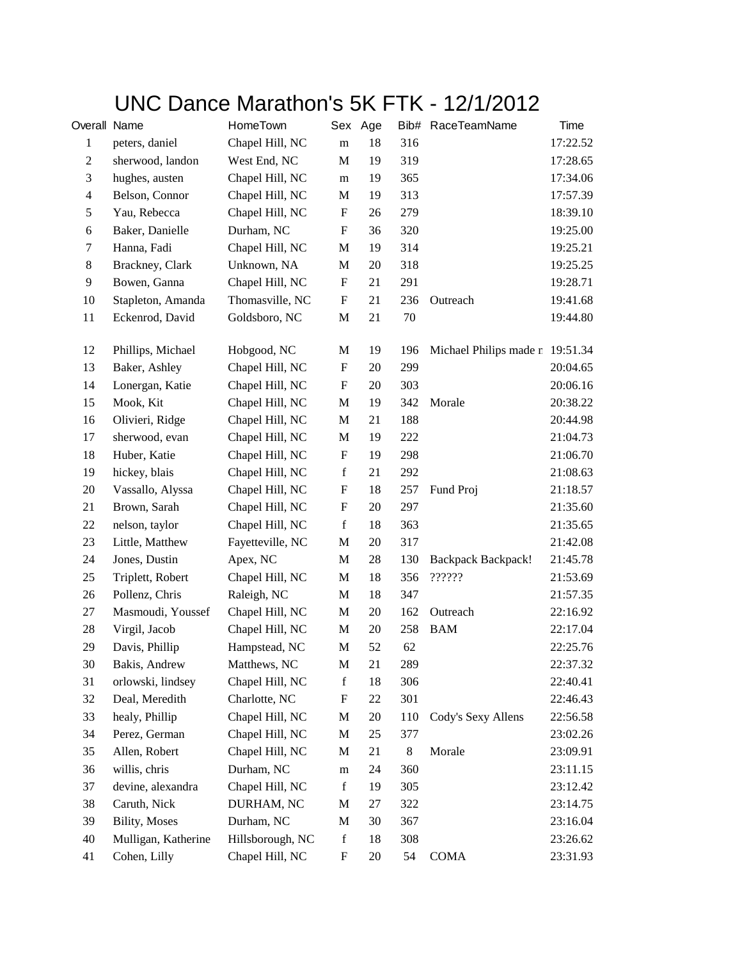## UNC Dance Marathon's 5K FTK - 12/1/2012

| Overall Name   |                      | HomeTown         |                           | Sex Age |        | Bib# RaceTeamName               | Time     |
|----------------|----------------------|------------------|---------------------------|---------|--------|---------------------------------|----------|
| $\mathbf{1}$   | peters, daniel       | Chapel Hill, NC  | ${\rm m}$                 | 18      | 316    |                                 | 17:22.52 |
| $\overline{c}$ | sherwood, landon     | West End, NC     | M                         | 19      | 319    |                                 | 17:28.65 |
| $\mathfrak{Z}$ | hughes, austen       | Chapel Hill, NC  | ${\rm m}$                 | 19      | 365    |                                 | 17:34.06 |
| $\overline{4}$ | Belson, Connor       | Chapel Hill, NC  | M                         | 19      | 313    |                                 | 17:57.39 |
| 5              | Yau, Rebecca         | Chapel Hill, NC  | ${\bf F}$                 | 26      | 279    |                                 | 18:39.10 |
| $\sqrt{6}$     | Baker, Danielle      | Durham, NC       | $\boldsymbol{\mathrm{F}}$ | 36      | 320    |                                 | 19:25.00 |
| $\tau$         | Hanna, Fadi          | Chapel Hill, NC  | $\mathbf M$               | 19      | 314    |                                 | 19:25.21 |
| $8\,$          | Brackney, Clark      | Unknown, NA      | M                         | $20\,$  | 318    |                                 | 19:25.25 |
| 9              | Bowen, Ganna         | Chapel Hill, NC  | $\boldsymbol{\mathrm{F}}$ | 21      | 291    |                                 | 19:28.71 |
| 10             | Stapleton, Amanda    | Thomasville, NC  | ${\bf F}$                 | 21      | 236    | Outreach                        | 19:41.68 |
| 11             | Eckenrod, David      | Goldsboro, NC    | $\mathbf M$               | 21      | $70\,$ |                                 | 19:44.80 |
|                |                      |                  |                           |         |        |                                 |          |
| 12             | Phillips, Michael    | Hobgood, NC      | M                         | 19      | 196    | Michael Philips made n 19:51.34 |          |
| 13             | Baker, Ashley        | Chapel Hill, NC  | $\boldsymbol{\mathrm{F}}$ | 20      | 299    |                                 | 20:04.65 |
| 14             | Lonergan, Katie      | Chapel Hill, NC  | $\boldsymbol{\mathrm{F}}$ | 20      | 303    |                                 | 20:06.16 |
| 15             | Mook, Kit            | Chapel Hill, NC  | $\mathbf M$               | 19      | 342    | Morale                          | 20:38.22 |
| 16             | Olivieri, Ridge      | Chapel Hill, NC  | M                         | 21      | 188    |                                 | 20:44.98 |
| 17             | sherwood, evan       | Chapel Hill, NC  | M                         | 19      | 222    |                                 | 21:04.73 |
| 18             | Huber, Katie         | Chapel Hill, NC  | $\boldsymbol{\mathrm{F}}$ | 19      | 298    |                                 | 21:06.70 |
| 19             | hickey, blais        | Chapel Hill, NC  | $\mathbf f$               | 21      | 292    |                                 | 21:08.63 |
| 20             | Vassallo, Alyssa     | Chapel Hill, NC  | F                         | 18      | 257    | Fund Proj                       | 21:18.57 |
| 21             | Brown, Sarah         | Chapel Hill, NC  | ${\bf F}$                 | 20      | 297    |                                 | 21:35.60 |
| $22\,$         | nelson, taylor       | Chapel Hill, NC  | $\mathbf f$               | 18      | 363    |                                 | 21:35.65 |
| 23             | Little, Matthew      | Fayetteville, NC | M                         | 20      | 317    |                                 | 21:42.08 |
| 24             | Jones, Dustin        | Apex, NC         | M                         | 28      | 130    | <b>Backpack Backpack!</b>       | 21:45.78 |
| 25             | Triplett, Robert     | Chapel Hill, NC  | M                         | 18      | 356    | ??????                          | 21:53.69 |
| 26             | Pollenz, Chris       | Raleigh, NC      | M                         | 18      | 347    |                                 | 21:57.35 |
| 27             | Masmoudi, Youssef    | Chapel Hill, NC  | $\mathbf M$               | 20      | 162    | Outreach                        | 22:16.92 |
| 28             | Virgil, Jacob        | Chapel Hill, NC  | M                         | 20      | 258    | <b>BAM</b>                      | 22:17.04 |
| 29             | Davis, Phillip       | Hampstead, NC    | M                         | 52      | 62     |                                 | 22:25.76 |
| 30             | Bakis, Andrew        | Matthews, NC     | M                         | 21      | 289    |                                 | 22:37.32 |
| 31             | orlowski, lindsey    | Chapel Hill, NC  | $\mathbf f$               | 18      | 306    |                                 | 22:40.41 |
| 32             | Deal, Meredith       | Charlotte, NC    | F                         | 22      | 301    |                                 | 22:46.43 |
| 33             | healy, Phillip       | Chapel Hill, NC  | M                         | 20      | 110    | Cody's Sexy Allens              | 22:56.58 |
| 34             | Perez, German        | Chapel Hill, NC  | M                         | 25      | 377    |                                 | 23:02.26 |
| 35             | Allen, Robert        | Chapel Hill, NC  | M                         | 21      | $8\,$  | Morale                          | 23:09.91 |
| 36             | willis, chris        | Durham, NC       | ${\rm m}$                 | 24      | 360    |                                 | 23:11.15 |
| 37             | devine, alexandra    | Chapel Hill, NC  | $\mathbf f$               | 19      | 305    |                                 | 23:12.42 |
| 38             | Caruth, Nick         | DURHAM, NC       | M                         | 27      | 322    |                                 | 23:14.75 |
| 39             | <b>Bility, Moses</b> | Durham, NC       | M                         | 30      | 367    |                                 | 23:16.04 |
| 40             | Mulligan, Katherine  | Hillsborough, NC | $\mathbf f$               | 18      | 308    |                                 | 23:26.62 |
| 41             | Cohen, Lilly         | Chapel Hill, NC  | F                         | 20      | 54     | <b>COMA</b>                     | 23:31.93 |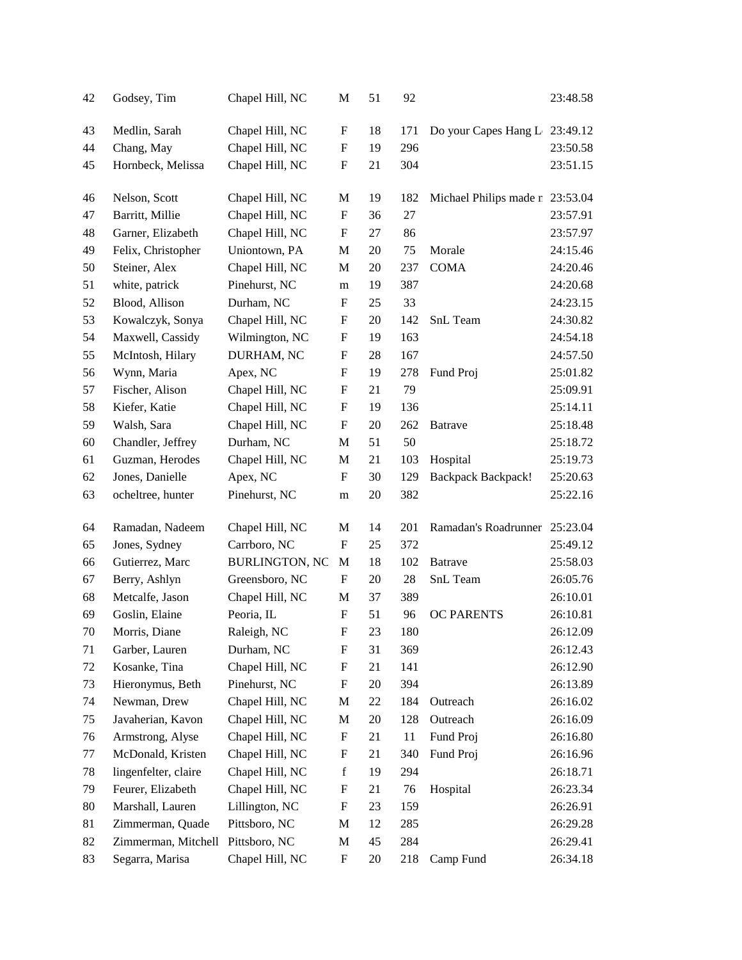| 42 | Godsey, Tim          | Chapel Hill, NC       | M                         | 51 | 92  |                                 | 23:48.58 |
|----|----------------------|-----------------------|---------------------------|----|-----|---------------------------------|----------|
| 43 | Medlin, Sarah        | Chapel Hill, NC       | F                         | 18 | 171 | Do your Capes Hang L            | 23:49.12 |
| 44 | Chang, May           | Chapel Hill, NC       | $\boldsymbol{\mathrm{F}}$ | 19 | 296 |                                 | 23:50.58 |
| 45 | Hornbeck, Melissa    | Chapel Hill, NC       | $\boldsymbol{\mathrm{F}}$ | 21 | 304 |                                 | 23:51.15 |
| 46 | Nelson, Scott        | Chapel Hill, NC       | M                         | 19 | 182 | Michael Philips made n 23:53.04 |          |
| 47 | Barritt, Millie      | Chapel Hill, NC       | $\boldsymbol{\mathrm{F}}$ | 36 | 27  |                                 | 23:57.91 |
| 48 | Garner, Elizabeth    | Chapel Hill, NC       | $\boldsymbol{\mathrm{F}}$ | 27 | 86  |                                 | 23:57.97 |
| 49 | Felix, Christopher   | Uniontown, PA         | M                         | 20 | 75  | Morale                          | 24:15.46 |
| 50 | Steiner, Alex        | Chapel Hill, NC       | M                         | 20 | 237 | <b>COMA</b>                     | 24:20.46 |
| 51 | white, patrick       | Pinehurst, NC         | m                         | 19 | 387 |                                 | 24:20.68 |
| 52 | Blood, Allison       | Durham, NC            | $\mathbf F$               | 25 | 33  |                                 | 24:23.15 |
| 53 | Kowalczyk, Sonya     | Chapel Hill, NC       | $\boldsymbol{\mathrm{F}}$ | 20 | 142 | SnL Team                        | 24:30.82 |
| 54 | Maxwell, Cassidy     | Wilmington, NC        | F                         | 19 | 163 |                                 | 24:54.18 |
| 55 | McIntosh, Hilary     | DURHAM, NC            | $\boldsymbol{\mathrm{F}}$ | 28 | 167 |                                 | 24:57.50 |
| 56 | Wynn, Maria          | Apex, NC              | $\mathbf F$               | 19 | 278 | Fund Proj                       | 25:01.82 |
| 57 | Fischer, Alison      | Chapel Hill, NC       | F                         | 21 | 79  |                                 | 25:09.91 |
| 58 | Kiefer, Katie        | Chapel Hill, NC       | $\boldsymbol{\mathrm{F}}$ | 19 | 136 |                                 | 25:14.11 |
| 59 | Walsh, Sara          | Chapel Hill, NC       | F                         | 20 | 262 | <b>Batrave</b>                  | 25:18.48 |
| 60 | Chandler, Jeffrey    | Durham, NC            | $\mathbf M$               | 51 | 50  |                                 | 25:18.72 |
| 61 | Guzman, Herodes      | Chapel Hill, NC       | M                         | 21 | 103 | Hospital                        | 25:19.73 |
| 62 | Jones, Danielle      | Apex, NC              | $\mathbf F$               | 30 | 129 | <b>Backpack Backpack!</b>       | 25:20.63 |
| 63 | ocheltree, hunter    | Pinehurst, NC         | ${\rm m}$                 | 20 | 382 |                                 | 25:22.16 |
| 64 | Ramadan, Nadeem      | Chapel Hill, NC       | M                         | 14 | 201 | Ramadan's Roadrunner            | 25:23.04 |
| 65 | Jones, Sydney        | Carrboro, NC          | $\mathbf{F}$              | 25 | 372 |                                 | 25:49.12 |
| 66 | Gutierrez, Marc      | <b>BURLINGTON, NC</b> | M                         | 18 | 102 | <b>Batrave</b>                  | 25:58.03 |
| 67 | Berry, Ashlyn        | Greensboro, NC        | $\boldsymbol{\mathrm{F}}$ | 20 | 28  | SnL Team                        | 26:05.76 |
| 68 | Metcalfe, Jason      | Chapel Hill, NC       | M                         | 37 | 389 |                                 | 26:10.01 |
| 69 | Goslin, Elaine       | Peoria, IL            | $\mathbf{F}$              | 51 | 96  | <b>OC PARENTS</b>               | 26:10.81 |
| 70 | Morris, Diane        | Raleigh, NC           | $\boldsymbol{\mathrm{F}}$ | 23 | 180 |                                 | 26:12.09 |
| 71 | Garber, Lauren       | Durham, NC            | F                         | 31 | 369 |                                 | 26:12.43 |
| 72 | Kosanke, Tina        | Chapel Hill, NC       | $\boldsymbol{\mathrm{F}}$ | 21 | 141 |                                 | 26:12.90 |
| 73 | Hieronymus, Beth     | Pinehurst, NC         | $\boldsymbol{\mathrm{F}}$ | 20 | 394 |                                 | 26:13.89 |
| 74 | Newman, Drew         | Chapel Hill, NC       | M                         | 22 | 184 | Outreach                        | 26:16.02 |
| 75 | Javaherian, Kavon    | Chapel Hill, NC       | M                         | 20 | 128 | Outreach                        | 26:16.09 |
| 76 | Armstrong, Alyse     | Chapel Hill, NC       | $\boldsymbol{F}$          | 21 | 11  | Fund Proj                       | 26:16.80 |
| 77 | McDonald, Kristen    | Chapel Hill, NC       | F                         | 21 | 340 | Fund Proj                       | 26:16.96 |
| 78 | lingenfelter, claire | Chapel Hill, NC       | $\mathbf f$               | 19 | 294 |                                 | 26:18.71 |
| 79 | Feurer, Elizabeth    | Chapel Hill, NC       | F                         | 21 | 76  | Hospital                        | 26:23.34 |
| 80 | Marshall, Lauren     | Lillington, NC        | $\boldsymbol{F}$          | 23 | 159 |                                 | 26:26.91 |
| 81 | Zimmerman, Quade     | Pittsboro, NC         | M                         | 12 | 285 |                                 | 26:29.28 |
| 82 | Zimmerman, Mitchell  | Pittsboro, NC         | M                         | 45 | 284 |                                 | 26:29.41 |
| 83 | Segarra, Marisa      | Chapel Hill, NC       | $\boldsymbol{\mathrm{F}}$ | 20 | 218 | Camp Fund                       | 26:34.18 |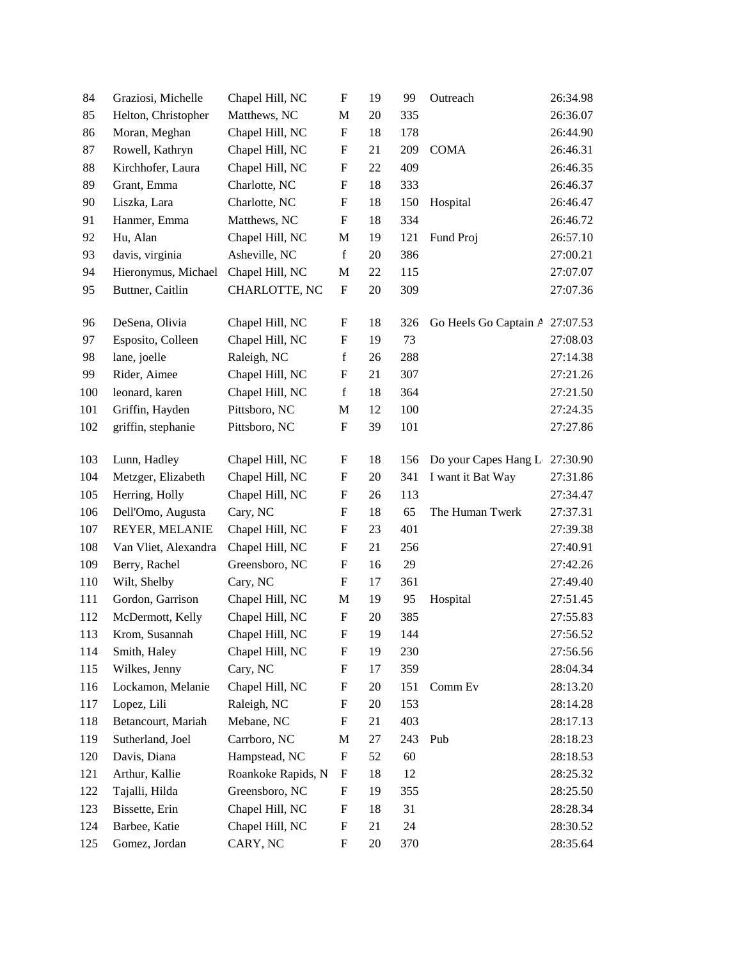| 84  | Graziosi, Michelle   | Chapel Hill, NC    | ${\bf F}$                 | 19     | 99  | Outreach              | 26:34.98 |
|-----|----------------------|--------------------|---------------------------|--------|-----|-----------------------|----------|
| 85  | Helton, Christopher  | Matthews, NC       | $\mathbf M$               | 20     | 335 |                       | 26:36.07 |
| 86  | Moran, Meghan        | Chapel Hill, NC    | $\boldsymbol{\mathrm{F}}$ | 18     | 178 |                       | 26:44.90 |
| 87  | Rowell, Kathryn      | Chapel Hill, NC    | F                         | 21     | 209 | <b>COMA</b>           | 26:46.31 |
| 88  | Kirchhofer, Laura    | Chapel Hill, NC    | $\boldsymbol{\mathrm{F}}$ | 22     | 409 |                       | 26:46.35 |
| 89  | Grant, Emma          | Charlotte, NC      | $\boldsymbol{\mathrm{F}}$ | 18     | 333 |                       | 26:46.37 |
| 90  | Liszka, Lara         | Charlotte, NC      | F                         | 18     | 150 | Hospital              | 26:46.47 |
| 91  | Hanmer, Emma         | Matthews, NC       | $\boldsymbol{\mathrm{F}}$ | 18     | 334 |                       | 26:46.72 |
| 92  | Hu, Alan             | Chapel Hill, NC    | M                         | 19     | 121 | Fund Proj             | 26:57.10 |
| 93  | davis, virginia      | Asheville, NC      | $\mathbf f$               | 20     | 386 |                       | 27:00.21 |
| 94  | Hieronymus, Michael  | Chapel Hill, NC    | M                         | 22     | 115 |                       | 27:07.07 |
| 95  | Buttner, Caitlin     | CHARLOTTE, NC      | $\boldsymbol{\mathrm{F}}$ | $20\,$ | 309 |                       | 27:07.36 |
| 96  | DeSena, Olivia       | Chapel Hill, NC    | F                         | 18     | 326 | Go Heels Go Captain A | 27:07.53 |
| 97  | Esposito, Colleen    | Chapel Hill, NC    | F                         | 19     | 73  |                       | 27:08.03 |
| 98  | lane, joelle         | Raleigh, NC        | $\mathbf f$               | 26     | 288 |                       | 27:14.38 |
| 99  | Rider, Aimee         | Chapel Hill, NC    | ${\bf F}$                 | 21     | 307 |                       | 27:21.26 |
| 100 | leonard, karen       | Chapel Hill, NC    | $\mathbf f$               | 18     | 364 |                       | 27:21.50 |
| 101 | Griffin, Hayden      | Pittsboro, NC      | M                         | 12     | 100 |                       | 27:24.35 |
| 102 | griffin, stephanie   | Pittsboro, NC      | $\boldsymbol{\mathrm{F}}$ | 39     | 101 |                       | 27:27.86 |
| 103 | Lunn, Hadley         | Chapel Hill, NC    | F                         | 18     | 156 | Do your Capes Hang L  | 27:30.90 |
| 104 | Metzger, Elizabeth   | Chapel Hill, NC    | ${\bf F}$                 | 20     | 341 | I want it Bat Way     | 27:31.86 |
| 105 | Herring, Holly       | Chapel Hill, NC    | F                         | 26     | 113 |                       | 27:34.47 |
| 106 | Dell'Omo, Augusta    | Cary, NC           | ${\bf F}$                 | 18     | 65  | The Human Twerk       | 27:37.31 |
| 107 | REYER, MELANIE       | Chapel Hill, NC    | ${\bf F}$                 | 23     | 401 |                       | 27:39.38 |
| 108 | Van Vliet, Alexandra | Chapel Hill, NC    | $\boldsymbol{\mathrm{F}}$ | 21     | 256 |                       | 27:40.91 |
| 109 | Berry, Rachel        | Greensboro, NC     | F                         | 16     | 29  |                       | 27:42.26 |
| 110 | Wilt, Shelby         | Cary, NC           | $\boldsymbol{F}$          | 17     | 361 |                       | 27:49.40 |
| 111 | Gordon, Garrison     | Chapel Hill, NC    | M                         | 19     | 95  | Hospital              | 27:51.45 |
| 112 | McDermott, Kelly     | Chapel Hill, NC    | $\boldsymbol{\mathrm{F}}$ | 20     | 385 |                       | 27:55.83 |
| 113 | Krom, Susannah       | Chapel Hill, NC    | $\boldsymbol{\mathrm{F}}$ | 19     | 144 |                       | 27:56.52 |
| 114 | Smith, Haley         | Chapel Hill, NC    | F                         | 19     | 230 |                       | 27:56.56 |
| 115 | Wilkes, Jenny        | Cary, NC           | $\boldsymbol{\mathrm{F}}$ | 17     | 359 |                       | 28:04.34 |
| 116 | Lockamon, Melanie    | Chapel Hill, NC    | $\boldsymbol{\mathrm{F}}$ | 20     | 151 | Comm Ev               | 28:13.20 |
| 117 | Lopez, Lili          | Raleigh, NC        | F                         | 20     | 153 |                       | 28:14.28 |
| 118 | Betancourt, Mariah   | Mebane, NC         | $\boldsymbol{\mathrm{F}}$ | 21     | 403 |                       | 28:17.13 |
| 119 | Sutherland, Joel     | Carrboro, NC       | M                         | 27     | 243 | Pub                   | 28:18.23 |
| 120 | Davis, Diana         | Hampstead, NC      | $\boldsymbol{\mathrm{F}}$ | 52     | 60  |                       | 28:18.53 |
| 121 | Arthur, Kallie       | Roankoke Rapids, N | $\boldsymbol{F}$          | 18     | 12  |                       | 28:25.32 |
| 122 | Tajalli, Hilda       | Greensboro, NC     | F                         | 19     | 355 |                       | 28:25.50 |
| 123 | Bissette, Erin       | Chapel Hill, NC    | $\boldsymbol{\mathrm{F}}$ | 18     | 31  |                       | 28:28.34 |
| 124 | Barbee, Katie        | Chapel Hill, NC    | ${\bf F}$                 | 21     | 24  |                       | 28:30.52 |
| 125 | Gomez, Jordan        | CARY, NC           | $\boldsymbol{\mathrm{F}}$ | $20\,$ | 370 |                       | 28:35.64 |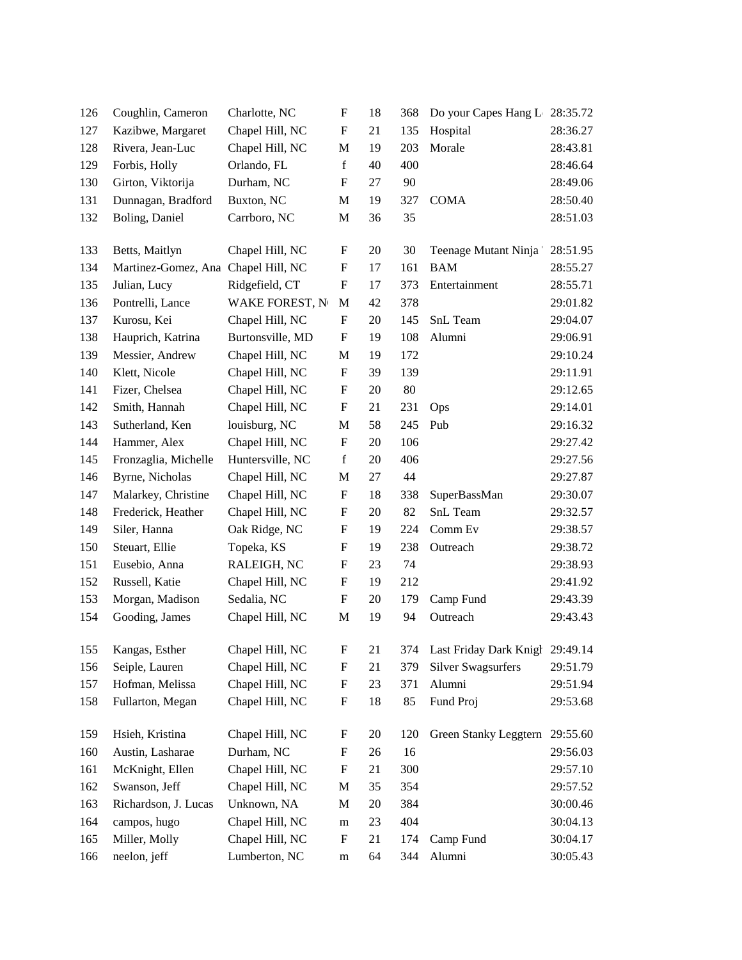| 126        | Coughlin, Cameron                                     | Charlotte, NC          | F                         | 18       | 368        | Do your Capes Hang L 28:35.72       |                      |
|------------|-------------------------------------------------------|------------------------|---------------------------|----------|------------|-------------------------------------|----------------------|
| 127        | Kazibwe, Margaret                                     | Chapel Hill, NC        | F                         | 21       | 135        | Hospital                            | 28:36.27             |
| 128        | Rivera, Jean-Luc                                      | Chapel Hill, NC        | M                         | 19       | 203        | Morale                              | 28:43.81             |
| 129        | Forbis, Holly                                         | Orlando, FL            | $\mathbf f$               | 40       | 400        |                                     | 28:46.64             |
| 130        | Girton, Viktorija                                     | Durham, NC             | $\boldsymbol{\mathrm{F}}$ | 27       | 90         |                                     | 28:49.06             |
| 131        | Dunnagan, Bradford                                    | Buxton, NC             | M                         | 19       | 327        | <b>COMA</b>                         | 28:50.40             |
| 132        | Boling, Daniel                                        | Carrboro, NC           | M                         | 36       | 35         |                                     | 28:51.03             |
|            |                                                       |                        |                           |          |            |                                     |                      |
| 133<br>134 | Betts, Maitlyn<br>Martinez-Gomez, Ana Chapel Hill, NC | Chapel Hill, NC        | F                         | 20       | 30<br>161  | Teenage Mutant Ninja<br><b>BAM</b>  | 28:51.95             |
| 135        |                                                       |                        | F<br>${\bf F}$            | 17       |            |                                     | 28:55.27<br>28:55.71 |
|            | Julian, Lucy                                          | Ridgefield, CT         |                           | 17       | 373        | Entertainment                       |                      |
| 136        | Pontrelli, Lance                                      | <b>WAKE FOREST, No</b> | M                         | 42<br>20 | 378<br>145 |                                     | 29:01.82             |
| 137        | Kurosu, Kei                                           | Chapel Hill, NC        | F                         |          |            | SnL Team                            | 29:04.07             |
| 138        | Hauprich, Katrina                                     | Burtonsville, MD       | F                         | 19       | 108        | Alumni                              | 29:06.91             |
| 139        | Messier, Andrew<br>Klett, Nicole                      | Chapel Hill, NC        | M                         | 19       | 172        |                                     | 29:10.24             |
| 140        |                                                       | Chapel Hill, NC        | F                         | 39       | 139        |                                     | 29:11.91             |
| 141        | Fizer, Chelsea                                        | Chapel Hill, NC        | F                         | 20       | 80         |                                     | 29:12.65             |
| 142        | Smith, Hannah                                         | Chapel Hill, NC        | F                         | 21       | 231        | Ops                                 | 29:14.01             |
| 143        | Sutherland, Ken                                       | louisburg, NC          | M                         | 58       | 245        | Pub                                 | 29:16.32             |
| 144        | Hammer, Alex                                          | Chapel Hill, NC        | F                         | 20       | 106        |                                     | 29:27.42             |
| 145        | Fronzaglia, Michelle                                  | Huntersville, NC       | $\mathbf f$               | 20       | 406        |                                     | 29:27.56             |
| 146        | Byrne, Nicholas                                       | Chapel Hill, NC        | M                         | 27       | 44         |                                     | 29:27.87             |
| 147        | Malarkey, Christine                                   | Chapel Hill, NC        | F                         | 18       | 338        | SuperBassMan                        | 29:30.07             |
| 148        | Frederick, Heather                                    | Chapel Hill, NC        | F                         | 20       | 82         | SnL Team                            | 29:32.57             |
| 149        | Siler, Hanna                                          | Oak Ridge, NC          | F                         | 19       | 224        | Comm Ev                             | 29:38.57             |
| 150        | Steuart, Ellie                                        | Topeka, KS             | F                         | 19       | 238        | Outreach                            | 29:38.72             |
| 151        | Eusebio, Anna                                         | RALEIGH, NC            | F                         | 23       | 74         |                                     | 29:38.93             |
| 152        | Russell, Katie                                        | Chapel Hill, NC        | F                         | 19       | 212        |                                     | 29:41.92             |
| 153        | Morgan, Madison                                       | Sedalia, NC            | F                         | 20       | 179        | Camp Fund                           | 29:43.39             |
| 154        | Gooding, James                                        | Chapel Hill, NC        | $\mathbf M$               | 19       | 94         | Outreach                            | 29:43.43             |
| 155        | Kangas, Esther                                        | Chapel Hill, NC        | ${\rm F}$                 | 21       |            | 374 Last Friday Dark Knigh 29:49.14 |                      |
| 156        | Seiple, Lauren                                        | Chapel Hill, NC        | $\boldsymbol{\mathrm{F}}$ | 21       | 379        | <b>Silver Swagsurfers</b>           | 29:51.79             |
| 157        | Hofman, Melissa                                       | Chapel Hill, NC        | ${\bf F}$                 | 23       | 371        | Alumni                              | 29:51.94             |
| 158        | Fullarton, Megan                                      | Chapel Hill, NC        | $\mathbf F$               | 18       | 85         | Fund Proj                           | 29:53.68             |
| 159        | Hsieh, Kristina                                       | Chapel Hill, NC        | $\boldsymbol{\mathrm{F}}$ | 20       | 120        | Green Stanky Leggtern               | 29:55.60             |
| 160        | Austin, Lasharae                                      | Durham, NC             | F                         | 26       | 16         |                                     | 29:56.03             |
| 161        | McKnight, Ellen                                       | Chapel Hill, NC        | ${\bf F}$                 | 21       | 300        |                                     | 29:57.10             |
| 162        | Swanson, Jeff                                         | Chapel Hill, NC        | M                         | 35       | 354        |                                     | 29:57.52             |
| 163        | Richardson, J. Lucas                                  | Unknown, NA            | M                         | 20       | 384        |                                     | 30:00.46             |
| 164        | campos, hugo                                          | Chapel Hill, NC        |                           | 23       | 404        |                                     | 30:04.13             |
| 165        | Miller, Molly                                         | Chapel Hill, NC        | m<br>F                    | 21       | 174        | Camp Fund                           | 30:04.17             |
| 166        | neelon, jeff                                          | Lumberton, NC          | ${\rm m}$                 | 64       | 344        | Alumni                              | 30:05.43             |
|            |                                                       |                        |                           |          |            |                                     |                      |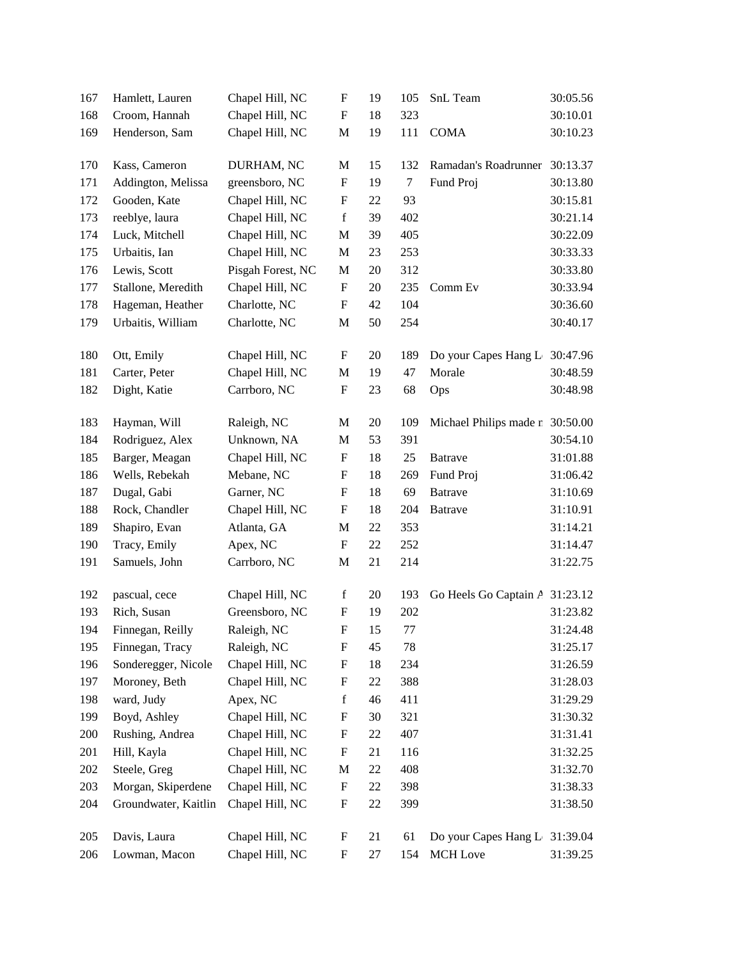| 167 | Hamlett, Lauren      | Chapel Hill, NC   | $\boldsymbol{\mathrm{F}}$ | 19     | 105     | SnL Team                        | 30:05.56 |
|-----|----------------------|-------------------|---------------------------|--------|---------|---------------------------------|----------|
| 168 | Croom, Hannah        | Chapel Hill, NC   | $\boldsymbol{\mathrm{F}}$ | 18     | 323     |                                 | 30:10.01 |
| 169 | Henderson, Sam       | Chapel Hill, NC   | $\mathbf M$               | 19     | 111     | <b>COMA</b>                     | 30:10.23 |
| 170 | Kass, Cameron        | DURHAM, NC        | M                         | 15     | 132     | Ramadan's Roadrunner            | 30:13.37 |
| 171 | Addington, Melissa   | greensboro, NC    | ${\bf F}$                 | 19     | $\tau$  | Fund Proj                       | 30:13.80 |
| 172 | Gooden, Kate         | Chapel Hill, NC   | $\boldsymbol{\mathrm{F}}$ | 22     | 93      |                                 | 30:15.81 |
| 173 | reeblye, laura       | Chapel Hill, NC   | $\mathbf f$               | 39     | 402     |                                 | 30:21.14 |
| 174 | Luck, Mitchell       | Chapel Hill, NC   | $\mathbf M$               | 39     | 405     |                                 | 30:22.09 |
| 175 | Urbaitis, Ian        | Chapel Hill, NC   | M                         | 23     | 253     |                                 | 30:33.33 |
| 176 | Lewis, Scott         | Pisgah Forest, NC | $\mathbf M$               | 20     | 312     |                                 | 30:33.80 |
| 177 | Stallone, Meredith   | Chapel Hill, NC   | $\boldsymbol{\mathrm{F}}$ | 20     | 235     | Comm Ev                         | 30:33.94 |
| 178 | Hageman, Heather     | Charlotte, NC     | $\boldsymbol{\mathrm{F}}$ | 42     | 104     |                                 | 30:36.60 |
| 179 | Urbaitis, William    | Charlotte, NC     | $\mathbf M$               | 50     | 254     |                                 | 30:40.17 |
| 180 | Ott, Emily           | Chapel Hill, NC   | $\boldsymbol{\mathrm{F}}$ | 20     | 189     | Do your Capes Hang L            | 30:47.96 |
| 181 | Carter, Peter        | Chapel Hill, NC   | $\mathbf M$               | 19     | 47      | Morale                          | 30:48.59 |
| 182 | Dight, Katie         | Carrboro, NC      | ${\bf F}$                 | 23     | 68      | Ops                             | 30:48.98 |
| 183 | Hayman, Will         | Raleigh, NC       | M                         | $20\,$ | 109     | Michael Philips made n 30:50.00 |          |
| 184 | Rodriguez, Alex      | Unknown, NA       | $\mathbf M$               | 53     | 391     |                                 | 30:54.10 |
| 185 | Barger, Meagan       | Chapel Hill, NC   | $\boldsymbol{\mathrm{F}}$ | 18     | 25      | <b>Batrave</b>                  | 31:01.88 |
| 186 | Wells, Rebekah       | Mebane, NC        | $\boldsymbol{\mathrm{F}}$ | 18     | 269     | Fund Proj                       | 31:06.42 |
| 187 | Dugal, Gabi          | Garner, NC        | ${\bf F}$                 | 18     | 69      | <b>Batrave</b>                  | 31:10.69 |
| 188 | Rock, Chandler       | Chapel Hill, NC   | $\boldsymbol{\mathrm{F}}$ | 18     | 204     | <b>Batrave</b>                  | 31:10.91 |
| 189 | Shapiro, Evan        | Atlanta, GA       | $\mathbf M$               | $22\,$ | 353     |                                 | 31:14.21 |
| 190 | Tracy, Emily         | Apex, NC          | ${\bf F}$                 | 22     | 252     |                                 | 31:14.47 |
| 191 | Samuels, John        | Carrboro, NC      | $\mathbf M$               | 21     | 214     |                                 | 31:22.75 |
| 192 | pascual, cece        | Chapel Hill, NC   | $\mathbf f$               | 20     | 193     | Go Heels Go Captain A           | 31:23.12 |
| 193 | Rich, Susan          | Greensboro, NC    | ${\bf F}$                 | 19     | 202     |                                 | 31:23.82 |
| 194 | Finnegan, Reilly     | Raleigh, NC       | $\mathbf F$               | 15     | $77 \,$ |                                 | 31:24.48 |
| 195 | Finnegan, Tracy      | Raleigh, NC       | $\boldsymbol{\mathrm{F}}$ | 45     | 78      |                                 | 31:25.17 |
| 196 | Sonderegger, Nicole  | Chapel Hill, NC   | ${\bf F}$                 | 18     | 234     |                                 | 31:26.59 |
| 197 | Moroney, Beth        | Chapel Hill, NC   | $\boldsymbol{\mathrm{F}}$ | 22     | 388     |                                 | 31:28.03 |
| 198 | ward, Judy           | Apex, NC          | $\mathbf f$               | 46     | 411     |                                 | 31:29.29 |
| 199 | Boyd, Ashley         | Chapel Hill, NC   | $\boldsymbol{\mathrm{F}}$ | 30     | 321     |                                 | 31:30.32 |
| 200 | Rushing, Andrea      | Chapel Hill, NC   | $\boldsymbol{\mathrm{F}}$ | $22\,$ | 407     |                                 | 31:31.41 |
| 201 | Hill, Kayla          | Chapel Hill, NC   | ${\bf F}$                 | 21     | 116     |                                 | 31:32.25 |
| 202 | Steele, Greg         | Chapel Hill, NC   | M                         | $22\,$ | 408     |                                 | 31:32.70 |
| 203 | Morgan, Skiperdene   | Chapel Hill, NC   | $\boldsymbol{\mathrm{F}}$ | $22\,$ | 398     |                                 | 31:38.33 |
| 204 | Groundwater, Kaitlin | Chapel Hill, NC   | $\mathbf F$               | 22     | 399     |                                 | 31:38.50 |
| 205 | Davis, Laura         | Chapel Hill, NC   | $\boldsymbol{\mathrm{F}}$ | 21     | 61      | Do your Capes Hang L 31:39.04   |          |
| 206 | Lowman, Macon        | Chapel Hill, NC   | ${\bf F}$                 | 27     | 154     | MCH Love                        | 31:39.25 |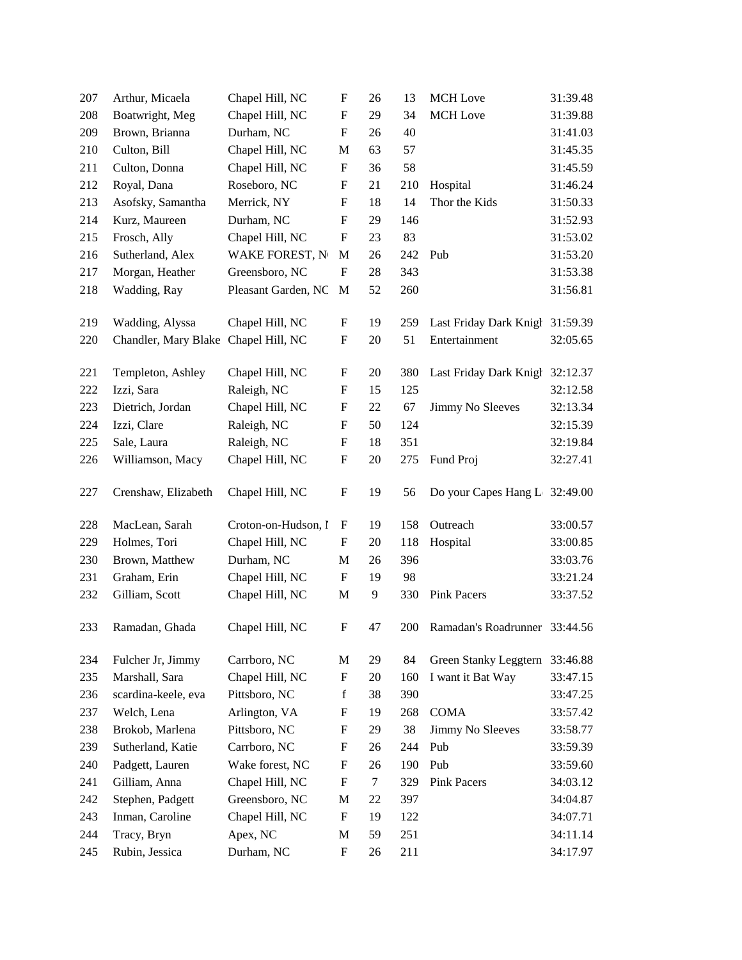| 207 | Arthur, Micaela                      | Chapel Hill, NC        | $\boldsymbol{\mathrm{F}}$ | 26 | 13  | <b>MCH</b> Love               | 31:39.48 |
|-----|--------------------------------------|------------------------|---------------------------|----|-----|-------------------------------|----------|
| 208 | Boatwright, Meg                      | Chapel Hill, NC        | $\boldsymbol{\mathrm{F}}$ | 29 | 34  | <b>MCH</b> Love               | 31:39.88 |
| 209 | Brown, Brianna                       | Durham, NC             | $\boldsymbol{\mathrm{F}}$ | 26 | 40  |                               | 31:41.03 |
| 210 | Culton, Bill                         | Chapel Hill, NC        | M                         | 63 | 57  |                               | 31:45.35 |
| 211 | Culton, Donna                        | Chapel Hill, NC        | $\boldsymbol{\mathrm{F}}$ | 36 | 58  |                               | 31:45.59 |
| 212 | Royal, Dana                          | Roseboro, NC           | $\boldsymbol{\mathrm{F}}$ | 21 | 210 | Hospital                      | 31:46.24 |
| 213 | Asofsky, Samantha                    | Merrick, NY            | F                         | 18 | 14  | Thor the Kids                 | 31:50.33 |
| 214 | Kurz, Maureen                        | Durham, NC             | F                         | 29 | 146 |                               | 31:52.93 |
| 215 | Frosch, Ally                         | Chapel Hill, NC        | F                         | 23 | 83  |                               | 31:53.02 |
| 216 | Sutherland, Alex                     | <b>WAKE FOREST, No</b> | M                         | 26 | 242 | Pub                           | 31:53.20 |
| 217 | Morgan, Heather                      | Greensboro, NC         | ${\bf F}$                 | 28 | 343 |                               | 31:53.38 |
| 218 | Wadding, Ray                         | Pleasant Garden, NC    | M                         | 52 | 260 |                               | 31:56.81 |
|     |                                      |                        |                           |    |     |                               |          |
| 219 | Wadding, Alyssa                      | Chapel Hill, NC        | F                         | 19 | 259 | Last Friday Dark Knigh        | 31:59.39 |
| 220 | Chandler, Mary Blake Chapel Hill, NC |                        | F                         | 20 | 51  | Entertainment                 | 32:05.65 |
|     |                                      |                        |                           |    |     |                               |          |
| 221 | Templeton, Ashley                    | Chapel Hill, NC        | F                         | 20 | 380 | Last Friday Dark Knigh        | 32:12.37 |
| 222 | Izzi, Sara                           | Raleigh, NC            | F                         | 15 | 125 |                               | 32:12.58 |
| 223 | Dietrich, Jordan                     | Chapel Hill, NC        | F                         | 22 | 67  | Jimmy No Sleeves              | 32:13.34 |
| 224 | Izzi, Clare                          | Raleigh, NC            | F                         | 50 | 124 |                               | 32:15.39 |
| 225 | Sale, Laura                          | Raleigh, NC            | F                         | 18 | 351 |                               | 32:19.84 |
| 226 | Williamson, Macy                     | Chapel Hill, NC        | ${\bf F}$                 | 20 | 275 | Fund Proj                     | 32:27.41 |
| 227 | Crenshaw, Elizabeth                  | Chapel Hill, NC        | ${\bf F}$                 | 19 | 56  | Do your Capes Hang L 32:49.00 |          |
| 228 | MacLean, Sarah                       | Croton-on-Hudson, I    | F                         | 19 | 158 | Outreach                      | 33:00.57 |
| 229 | Holmes, Tori                         | Chapel Hill, NC        | F                         | 20 | 118 | Hospital                      | 33:00.85 |
| 230 | Brown, Matthew                       | Durham, NC             | $\mathbf M$               | 26 |     |                               | 33:03.76 |
|     |                                      |                        |                           |    | 396 |                               |          |
| 231 | Graham, Erin                         | Chapel Hill, NC        | $\boldsymbol{\mathrm{F}}$ | 19 | 98  |                               | 33:21.24 |
| 232 | Gilliam, Scott                       | Chapel Hill, NC        | M                         | 9  | 330 | <b>Pink Pacers</b>            | 33:37.52 |
| 233 | Ramadan, Ghada                       | Chapel Hill, NC        | ${\bf F}$                 | 47 | 200 | Ramadan's Roadrunner 33:44.56 |          |
| 234 | Fulcher Jr, Jimmy                    | Carrboro, NC           | М                         | 29 | 84  | Green Stanky Leggtern         | 33:46.88 |
| 235 | Marshall, Sara                       | Chapel Hill, NC        | $\boldsymbol{\mathrm{F}}$ | 20 | 160 | I want it Bat Way             | 33:47.15 |
| 236 | scardina-keele, eva                  | Pittsboro, NC          | $\mathbf f$               | 38 | 390 |                               | 33:47.25 |
| 237 | Welch, Lena                          | Arlington, VA          | $\boldsymbol{\mathrm{F}}$ | 19 | 268 | <b>COMA</b>                   | 33:57.42 |
| 238 | Brokob, Marlena                      | Pittsboro, NC          | $\boldsymbol{\mathrm{F}}$ | 29 | 38  | Jimmy No Sleeves              | 33:58.77 |
| 239 | Sutherland, Katie                    | Carrboro, NC           | F                         | 26 | 244 | Pub                           | 33:59.39 |
| 240 | Padgett, Lauren                      | Wake forest, NC        | F                         | 26 | 190 | Pub                           | 33:59.60 |
| 241 | Gilliam, Anna                        | Chapel Hill, NC        | F                         | 7  | 329 | <b>Pink Pacers</b>            | 34:03.12 |
| 242 | Stephen, Padgett                     | Greensboro, NC         | M                         | 22 | 397 |                               | 34:04.87 |
| 243 | Inman, Caroline                      | Chapel Hill, NC        | $\boldsymbol{\mathrm{F}}$ | 19 | 122 |                               | 34:07.71 |
| 244 | Tracy, Bryn                          | Apex, NC               | M                         | 59 | 251 |                               | 34:11.14 |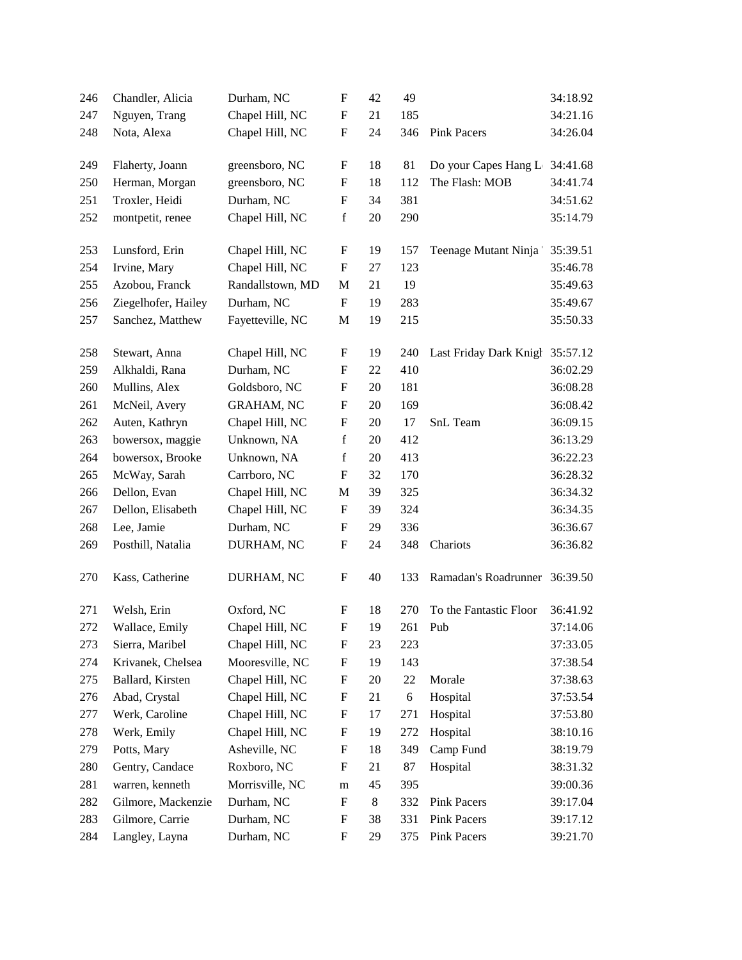| 246 | Chandler, Alicia    | Durham, NC        | $\boldsymbol{\mathrm{F}}$ | 42    | 49  |                               | 34:18.92 |
|-----|---------------------|-------------------|---------------------------|-------|-----|-------------------------------|----------|
| 247 | Nguyen, Trang       | Chapel Hill, NC   | $\boldsymbol{\mathrm{F}}$ | 21    | 185 |                               | 34:21.16 |
| 248 | Nota, Alexa         | Chapel Hill, NC   | $\boldsymbol{\mathrm{F}}$ | 24    | 346 | <b>Pink Pacers</b>            | 34:26.04 |
| 249 | Flaherty, Joann     | greensboro, NC    | F                         | 18    | 81  | Do your Capes Hang L          | 34:41.68 |
| 250 | Herman, Morgan      | greensboro, NC    | $\boldsymbol{\mathrm{F}}$ | 18    | 112 | The Flash: MOB                | 34:41.74 |
| 251 | Troxler, Heidi      | Durham, NC        | F                         | 34    | 381 |                               | 34:51.62 |
| 252 | montpetit, renee    | Chapel Hill, NC   | $\mathbf f$               | 20    | 290 |                               | 35:14.79 |
| 253 | Lunsford, Erin      | Chapel Hill, NC   | F                         | 19    | 157 | Teenage Mutant Ninja          | 35:39.51 |
| 254 | Irvine, Mary        | Chapel Hill, NC   | F                         | 27    | 123 |                               | 35:46.78 |
| 255 | Azobou, Franck      | Randallstown, MD  | M                         | 21    | 19  |                               | 35:49.63 |
| 256 | Ziegelhofer, Hailey | Durham, NC        | F                         | 19    | 283 |                               | 35:49.67 |
| 257 | Sanchez, Matthew    | Fayetteville, NC  | M                         | 19    | 215 |                               | 35:50.33 |
| 258 | Stewart, Anna       | Chapel Hill, NC   | F                         | 19    | 240 | Last Friday Dark Knigh        | 35:57.12 |
| 259 | Alkhaldi, Rana      | Durham, NC        | F                         | 22    | 410 |                               | 36:02.29 |
| 260 | Mullins, Alex       | Goldsboro, NC     | $\boldsymbol{\mathrm{F}}$ | 20    | 181 |                               | 36:08.28 |
| 261 | McNeil, Avery       | <b>GRAHAM, NC</b> | $\boldsymbol{\mathrm{F}}$ | 20    | 169 |                               | 36:08.42 |
| 262 | Auten, Kathryn      | Chapel Hill, NC   | $\boldsymbol{F}$          | 20    | 17  | SnL Team                      | 36:09.15 |
| 263 | bowersox, maggie    | Unknown, NA       | $\mathbf f$               | 20    | 412 |                               | 36:13.29 |
| 264 | bowersox, Brooke    | Unknown, NA       | $\mathbf f$               | 20    | 413 |                               | 36:22.23 |
| 265 | McWay, Sarah        | Carrboro, NC      | $\boldsymbol{\mathrm{F}}$ | 32    | 170 |                               | 36:28.32 |
| 266 | Dellon, Evan        | Chapel Hill, NC   | $\mathbf M$               | 39    | 325 |                               | 36:34.32 |
| 267 | Dellon, Elisabeth   | Chapel Hill, NC   | F                         | 39    | 324 |                               | 36:34.35 |
| 268 | Lee, Jamie          | Durham, NC        | F                         | 29    | 336 |                               | 36:36.67 |
| 269 | Posthill, Natalia   | DURHAM, NC        | $\mathbf F$               | 24    | 348 | Chariots                      | 36:36.82 |
| 270 | Kass, Catherine     | DURHAM, NC        | F                         | 40    | 133 | Ramadan's Roadrunner 36:39.50 |          |
| 271 | Welsh, Erin         | Oxford, NC        | F                         | 18    | 270 | To the Fantastic Floor        | 36:41.92 |
| 272 | Wallace, Emily      | Chapel Hill, NC   | $\boldsymbol{\mathrm{F}}$ | 19    | 261 | Pub                           | 37:14.06 |
| 273 | Sierra, Maribel     | Chapel Hill, NC   | F                         | 23    | 223 |                               | 37:33.05 |
| 274 | Krivanek, Chelsea   | Mooresville, NC   | F                         | 19    | 143 |                               | 37:38.54 |
| 275 | Ballard, Kirsten    | Chapel Hill, NC   | F                         | 20    | 22  | Morale                        | 37:38.63 |
| 276 | Abad, Crystal       | Chapel Hill, NC   | F                         | 21    | 6   | Hospital                      | 37:53.54 |
| 277 | Werk, Caroline      | Chapel Hill, NC   | F                         | 17    | 271 | Hospital                      | 37:53.80 |
| 278 | Werk, Emily         | Chapel Hill, NC   | F                         | 19    | 272 | Hospital                      | 38:10.16 |
| 279 | Potts, Mary         | Asheville, NC     | F                         | 18    | 349 | Camp Fund                     | 38:19.79 |
| 280 | Gentry, Candace     | Roxboro, NC       | ${\bf F}$                 | 21    | 87  | Hospital                      | 38:31.32 |
| 281 | warren, kenneth     | Morrisville, NC   | ${\rm m}$                 | 45    | 395 |                               | 39:00.36 |
| 282 | Gilmore, Mackenzie  | Durham, NC        | F                         | $8\,$ | 332 | <b>Pink Pacers</b>            | 39:17.04 |
| 283 | Gilmore, Carrie     | Durham, NC        | F                         | 38    | 331 | <b>Pink Pacers</b>            | 39:17.12 |
| 284 | Langley, Layna      | Durham, NC        | $\boldsymbol{F}$          | 29    | 375 | <b>Pink Pacers</b>            | 39:21.70 |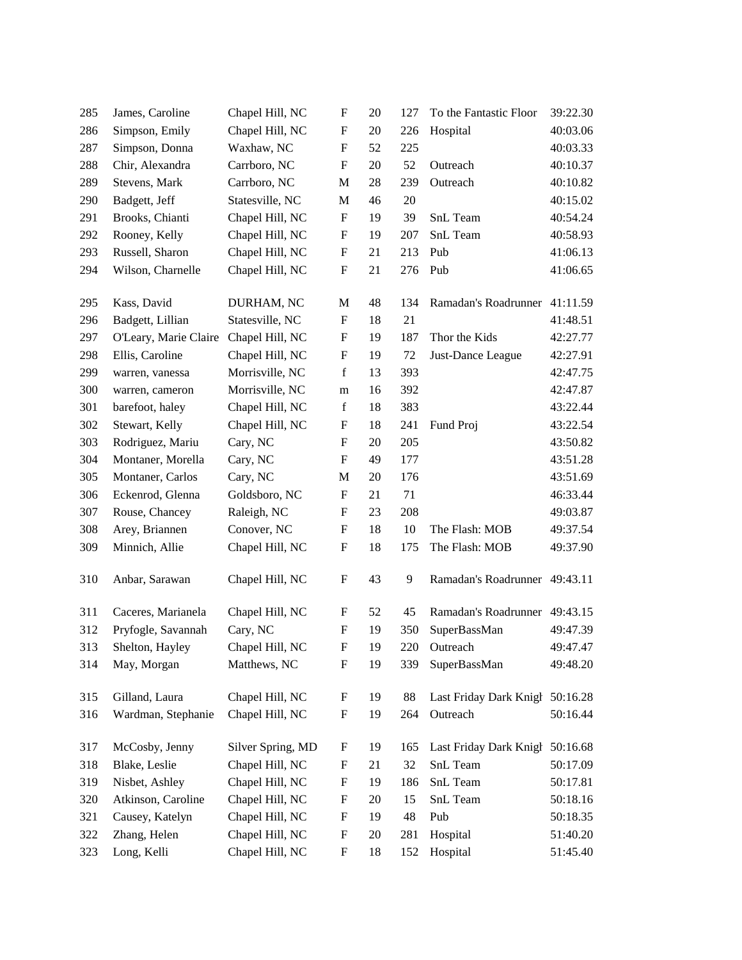| 285 | James, Caroline       | Chapel Hill, NC   | F                         | 20 | 127 | To the Fantastic Floor          | 39:22.30 |
|-----|-----------------------|-------------------|---------------------------|----|-----|---------------------------------|----------|
| 286 | Simpson, Emily        | Chapel Hill, NC   | F                         | 20 | 226 | Hospital                        | 40:03.06 |
| 287 | Simpson, Donna        | Waxhaw, NC        | F                         | 52 | 225 |                                 | 40:03.33 |
| 288 | Chir, Alexandra       | Carrboro, NC      | $\boldsymbol{\mathrm{F}}$ | 20 | 52  | Outreach                        | 40:10.37 |
| 289 | Stevens, Mark         | Carrboro, NC      | M                         | 28 | 239 | Outreach                        | 40:10.82 |
| 290 | Badgett, Jeff         | Statesville, NC   | M                         | 46 | 20  |                                 | 40:15.02 |
| 291 | Brooks, Chianti       | Chapel Hill, NC   | F                         | 19 | 39  | SnL Team                        | 40:54.24 |
| 292 | Rooney, Kelly         | Chapel Hill, NC   | $\boldsymbol{F}$          | 19 | 207 | SnL Team                        | 40:58.93 |
| 293 | Russell, Sharon       | Chapel Hill, NC   | $\boldsymbol{F}$          | 21 | 213 | Pub                             | 41:06.13 |
| 294 | Wilson, Charnelle     | Chapel Hill, NC   | $\boldsymbol{\mathrm{F}}$ | 21 | 276 | Pub                             | 41:06.65 |
|     |                       |                   |                           |    |     |                                 |          |
| 295 | Kass, David           | DURHAM, NC        | M                         | 48 | 134 | Ramadan's Roadrunner 41:11.59   |          |
| 296 | Badgett, Lillian      | Statesville, NC   | F                         | 18 | 21  |                                 | 41:48.51 |
| 297 | O'Leary, Marie Claire | Chapel Hill, NC   | $\boldsymbol{F}$          | 19 | 187 | Thor the Kids                   | 42:27.77 |
| 298 | Ellis, Caroline       | Chapel Hill, NC   | $\boldsymbol{\mathrm{F}}$ | 19 | 72  | Just-Dance League               | 42:27.91 |
| 299 | warren, vanessa       | Morrisville, NC   | $\mathbf f$               | 13 | 393 |                                 | 42:47.75 |
| 300 | warren, cameron       | Morrisville, NC   | m                         | 16 | 392 |                                 | 42:47.87 |
| 301 | barefoot, haley       | Chapel Hill, NC   | $\mathbf f$               | 18 | 383 |                                 | 43:22.44 |
| 302 | Stewart, Kelly        | Chapel Hill, NC   | F                         | 18 | 241 | Fund Proj                       | 43:22.54 |
| 303 | Rodriguez, Mariu      | Cary, NC          | $\boldsymbol{\mathrm{F}}$ | 20 | 205 |                                 | 43:50.82 |
| 304 | Montaner, Morella     | Cary, NC          | $\mathbf F$               | 49 | 177 |                                 | 43:51.28 |
| 305 | Montaner, Carlos      | Cary, NC          | M                         | 20 | 176 |                                 | 43:51.69 |
| 306 | Eckenrod, Glenna      | Goldsboro, NC     | F                         | 21 | 71  |                                 | 46:33.44 |
| 307 | Rouse, Chancey        | Raleigh, NC       | F                         | 23 | 208 |                                 | 49:03.87 |
| 308 | Arey, Briannen        | Conover, NC       | $\boldsymbol{\mathrm{F}}$ | 18 | 10  | The Flash: MOB                  | 49:37.54 |
| 309 | Minnich, Allie        | Chapel Hill, NC   | $\boldsymbol{\mathrm{F}}$ | 18 | 175 | The Flash: MOB                  | 49:37.90 |
| 310 | Anbar, Sarawan        | Chapel Hill, NC   | F                         | 43 | 9   | Ramadan's Roadrunner 49:43.11   |          |
| 311 | Caceres, Marianela    | Chapel Hill, NC   | F                         | 52 | 45  | Ramadan's Roadrunner 49:43.15   |          |
| 312 | Pryfogle, Savannah    | Cary, NC          | $\boldsymbol{\mathrm{F}}$ | 19 | 350 | SuperBassMan                    | 49:47.39 |
| 313 | Shelton, Hayley       | Chapel Hill, NC   | $\boldsymbol{\mathrm{F}}$ | 19 | 220 | Outreach                        | 49:47.47 |
| 314 | May, Morgan           | Matthews, NC      | F                         | 19 | 339 | SuperBassMan                    | 49:48.20 |
| 315 | Gilland, Laura        | Chapel Hill, NC   | F                         | 19 | 88  | Last Friday Dark Knigh 50:16.28 |          |
| 316 | Wardman, Stephanie    | Chapel Hill, NC   | $\boldsymbol{\mathrm{F}}$ | 19 | 264 | Outreach                        | 50:16.44 |
| 317 | McCosby, Jenny        | Silver Spring, MD | $\boldsymbol{F}$          | 19 | 165 | Last Friday Dark Knigh          | 50:16.68 |
| 318 | Blake, Leslie         | Chapel Hill, NC   | $\boldsymbol{\mathrm{F}}$ | 21 | 32  | SnL Team                        | 50:17.09 |
| 319 | Nisbet, Ashley        | Chapel Hill, NC   | $\mathbf F$               | 19 | 186 | SnL Team                        | 50:17.81 |
| 320 | Atkinson, Caroline    | Chapel Hill, NC   | $\boldsymbol{F}$          | 20 | 15  | SnL Team                        | 50:18.16 |
| 321 | Causey, Katelyn       | Chapel Hill, NC   | $\boldsymbol{F}$          | 19 | 48  | Pub                             | 50:18.35 |
| 322 | Zhang, Helen          | Chapel Hill, NC   | $\boldsymbol{F}$          | 20 | 281 | Hospital                        | 51:40.20 |
| 323 | Long, Kelli           | Chapel Hill, NC   | $\boldsymbol{\mathrm{F}}$ | 18 | 152 | Hospital                        | 51:45.40 |